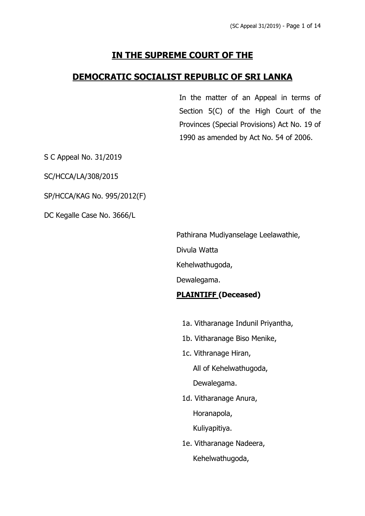# **IN THE SUPREME COURT OF THE**

# **DEMOCRATIC SOCIALIST REPUBLIC OF SRI LANKA**

In the matter of an Appeal in terms of Section 5(C) of the High Court of the Provinces (Special Provisions) Act No. 19 of 1990 as amended by Act No. 54 of 2006.

S C Appeal No. 31/2019

SC/HCCA/LA/308/2015

SP/HCCA/KAG No. 995/2012(F)

DC Kegalle Case No. 3666/L

Pathirana Mudiyanselage Leelawathie,

Divula Watta

Kehelwathugoda,

Dewalegama.

## **PLAINTIFF (Deceased)**

- 1a. Vitharanage Indunil Priyantha,
- 1b. Vitharanage Biso Menike,
- 1c. Vithranage Hiran, All of Kehelwathugoda, Dewalegama.
- 1d. Vitharanage Anura,

Horanapola,

Kuliyapitiya.

1e. Vitharanage Nadeera, Kehelwathugoda,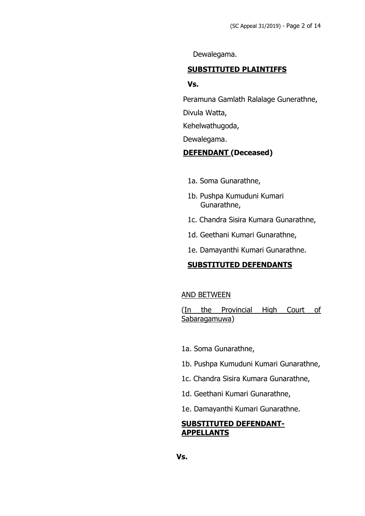Dewalegama.

#### **SUBSTITUTED PLAINTIFFS**

#### **Vs.**

Peramuna Gamlath Ralalage Gunerathne,

Divula Watta,

Kehelwathugoda,

Dewalegama.

## **DEFENDANT (Deceased)**

- 1a. Soma Gunarathne,
- 1b. Pushpa Kumuduni Kumari Gunarathne,
- 1c. Chandra Sisira Kumara Gunarathne,
- 1d. Geethani Kumari Gunarathne,
- 1e. Damayanthi Kumari Gunarathne.

#### **SUBSTITUTED DEFENDANTS**

#### AND BETWEEN

(In the Provincial High Court of Sabaragamuwa)

- 1a. Soma Gunarathne,
- 1b. Pushpa Kumuduni Kumari Gunarathne,
- 1c. Chandra Sisira Kumara Gunarathne,
- 1d. Geethani Kumari Gunarathne,
- 1e. Damayanthi Kumari Gunarathne.

#### **SUBSTITUTED DEFENDANT-APPELLANTS**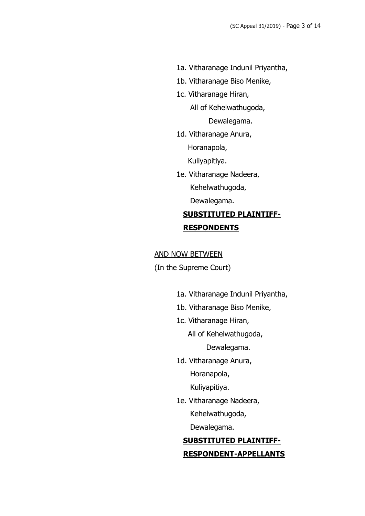- 1a. Vitharanage Indunil Priyantha,
- 1b. Vitharanage Biso Menike,
- 1c. Vitharanage Hiran,

 All of Kehelwathugoda, Dewalegama.

1d. Vitharanage Anura,

Horanapola,

Kuliyapitiya.

1e. Vitharanage Nadeera, Kehelwathugoda, Dewalegama.

# **SUBSTITUTED PLAINTIFF-RESPONDENTS**

#### AND NOW BETWEEN

(In the Supreme Court)

- 1a. Vitharanage Indunil Priyantha,
- 1b. Vitharanage Biso Menike,
- 1c. Vitharanage Hiran,

All of Kehelwathugoda,

Dewalegama.

1d. Vitharanage Anura, Horanapola,

Kuliyapitiya.

1e. Vitharanage Nadeera, Kehelwathugoda,

Dewalegama.

# **SUBSTITUTED PLAINTIFF-RESPONDENT-APPELLANTS**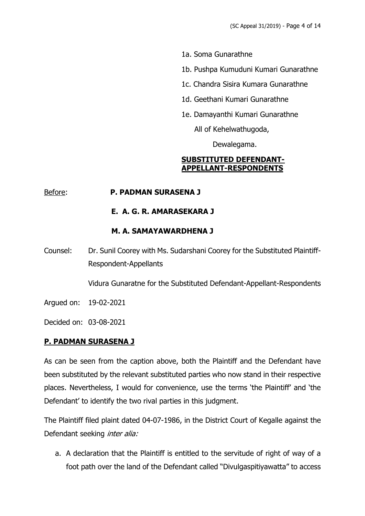- 1a. Soma Gunarathne
- 1b. Pushpa Kumuduni Kumari Gunarathne
- 1c. Chandra Sisira Kumara Gunarathne
- 1d. Geethani Kumari Gunarathne
- 1e. Damayanthi Kumari Gunarathne

All of Kehelwathugoda,

Dewalegama.

#### **SUBSTITUTED DEFENDANT-APPELLANT-RESPONDENTS**

#### Before: **P. PADMAN SURASENA J**

## **E. A. G. R. AMARASEKARA J**

## **M. A. SAMAYAWARDHENA J**

Counsel: Dr. Sunil Coorey with Ms. Sudarshani Coorey for the Substituted Plaintiff-Respondent-Appellants

Vidura Gunaratne for the Substituted Defendant-Appellant-Respondents

Argued on: 19-02-2021

Decided on: 03-08-2021

## **P. PADMAN SURASENA J**

As can be seen from the caption above, both the Plaintiff and the Defendant have been substituted by the relevant substituted parties who now stand in their respective places. Nevertheless, I would for convenience, use the terms 'the Plaintiff' and 'the Defendant' to identify the two rival parties in this judgment.

The Plaintiff filed plaint dated 04-07-1986, in the District Court of Kegalle against the Defendant seeking *inter alia:* 

a. A declaration that the Plaintiff is entitled to the servitude of right of way of a foot path over the land of the Defendant called "Divulgaspitiyawatta" to access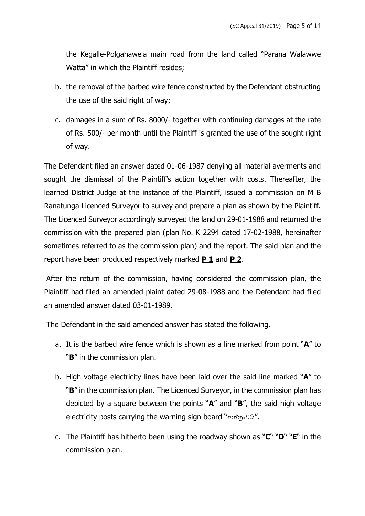the Kegalle-Polgahawela main road from the land called "Parana Walawwe Watta" in which the Plaintiff resides;

- b. the removal of the barbed wire fence constructed by the Defendant obstructing the use of the said right of way;
- c. damages in a sum of Rs. 8000/- together with continuing damages at the rate of Rs. 500/- per month until the Plaintiff is granted the use of the sought right of way.

The Defendant filed an answer dated 01-06-1987 denying all material averments and sought the dismissal of the Plaintiff's action together with costs. Thereafter, the learned District Judge at the instance of the Plaintiff, issued a commission on M B Ranatunga Licenced Surveyor to survey and prepare a plan as shown by the Plaintiff. The Licenced Surveyor accordingly surveyed the land on 29-01-1988 and returned the commission with the prepared plan (plan No. K 2294 dated 17-02-1988, hereinafter sometimes referred to as the commission plan) and the report. The said plan and the report have been produced respectively marked **P 1** and **P 2**.

After the return of the commission, having considered the commission plan, the Plaintiff had filed an amended plaint dated 29-08-1988 and the Defendant had filed an amended answer dated 03-01-1989.

The Defendant in the said amended answer has stated the following.

- a. It is the barbed wire fence which is shown as a line marked from point "**A**" to "**B**" in the commission plan.
- b. High voltage electricity lines have been laid over the said line marked "**A**" to "**B**" in the commission plan. The Licenced Surveyor, in the commission plan has depicted by a square between the points "**A**" and "**B**", the said high voltage electricity posts carrying the warning sign board "අන්තුවයි".
- c. The Plaintiff has hitherto been using the roadway shown as "**C**" "**D**" "**E**" in the commission plan.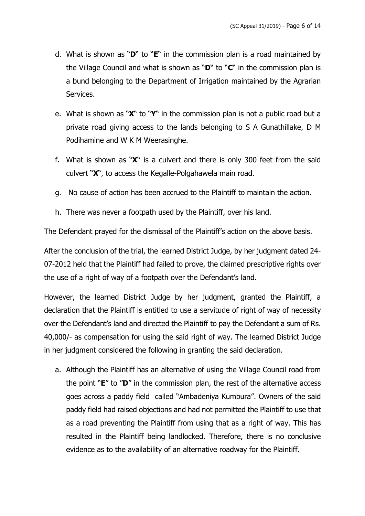- d. What is shown as "**D**" to "**E**" in the commission plan is a road maintained by the Village Council and what is shown as "**D**" to "**C**" in the commission plan is a bund belonging to the Department of Irrigation maintained by the Agrarian Services.
- e. What is shown as "**X**" to "**Y**" in the commission plan is not a public road but a private road giving access to the lands belonging to S A Gunathillake, D M Podihamine and W K M Weerasinghe.
- f. What is shown as "**X**" is a culvert and there is only 300 feet from the said culvert "**X**", to access the Kegalle-Polgahawela main road.
- g. No cause of action has been accrued to the Plaintiff to maintain the action.
- h. There was never a footpath used by the Plaintiff, over his land.

The Defendant prayed for the dismissal of the Plaintiff's action on the above basis.

After the conclusion of the trial, the learned District Judge, by her judgment dated 24- 07-2012 held that the Plaintiff had failed to prove, the claimed prescriptive rights over the use of a right of way of a footpath over the Defendant's land.

However, the learned District Judge by her judgment, granted the Plaintiff, a declaration that the Plaintiff is entitled to use a servitude of right of way of necessity over the Defendant's land and directed the Plaintiff to pay the Defendant a sum of Rs. 40,000/- as compensation for using the said right of way. The learned District Judge in her judgment considered the following in granting the said declaration.

a. Although the Plaintiff has an alternative of using the Village Council road from the point "**E**" to "**D**" in the commission plan, the rest of the alternative access goes across a paddy field called "Ambadeniya Kumbura". Owners of the said paddy field had raised objections and had not permitted the Plaintiff to use that as a road preventing the Plaintiff from using that as a right of way. This has resulted in the Plaintiff being landlocked. Therefore, there is no conclusive evidence as to the availability of an alternative roadway for the Plaintiff.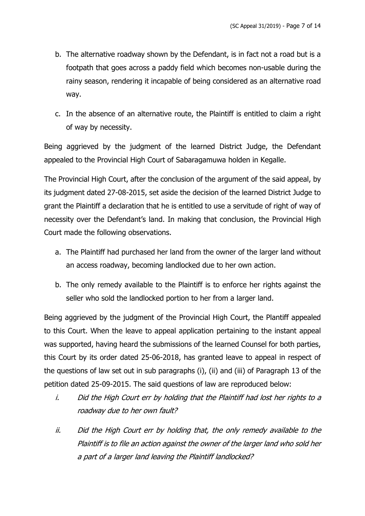- b. The alternative roadway shown by the Defendant, is in fact not a road but is a footpath that goes across a paddy field which becomes non-usable during the rainy season, rendering it incapable of being considered as an alternative road way.
- c. In the absence of an alternative route, the Plaintiff is entitled to claim a right of way by necessity.

Being aggrieved by the judgment of the learned District Judge, the Defendant appealed to the Provincial High Court of Sabaragamuwa holden in Kegalle.

The Provincial High Court, after the conclusion of the argument of the said appeal, by its judgment dated 27-08-2015, set aside the decision of the learned District Judge to grant the Plaintiff a declaration that he is entitled to use a servitude of right of way of necessity over the Defendant's land. In making that conclusion, the Provincial High Court made the following observations.

- a. The Plaintiff had purchased her land from the owner of the larger land without an access roadway, becoming landlocked due to her own action.
- b. The only remedy available to the Plaintiff is to enforce her rights against the seller who sold the landlocked portion to her from a larger land.

Being aggrieved by the judgment of the Provincial High Court, the Plantiff appealed to this Court. When the leave to appeal application pertaining to the instant appeal was supported, having heard the submissions of the learned Counsel for both parties, this Court by its order dated 25-06-2018, has granted leave to appeal in respect of the questions of law set out in sub paragraphs (i), (ii) and (iii) of Paragraph 13 of the petition dated 25-09-2015. The said questions of law are reproduced below:

- i. Did the High Court err by holding that the Plaintiff had lost her rights to <sup>a</sup> roadway due to her own fault?
- ii. Did the High Court err by holding that, the only remedy available to the Plaintiff is to file an action against the owner of the larger land who sold her <sup>a</sup> part of <sup>a</sup> larger land leaving the Plaintiff landlocked?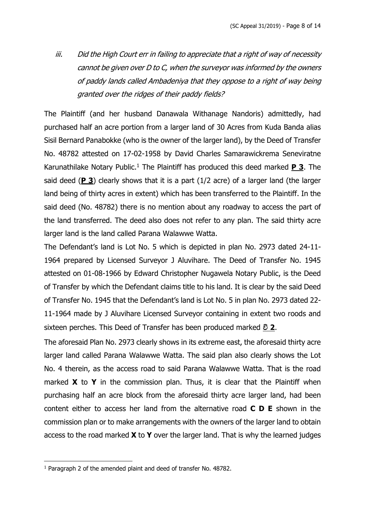iii. Did the High Court err in failing to appreciate that <sup>a</sup> right of way of necessity cannot be given over D to C, when the surveyor was informed by the owners of paddy lands called Ambadeniya that they oppose to <sup>a</sup> right of way being granted over the ridges of their paddy fields?

The Plaintiff (and her husband Danawala Withanage Nandoris) admittedly, had purchased half an acre portion from a larger land of 30 Acres from Kuda Banda alias Sisil Bernard Panabokke (who is the owner of the larger land), by the Deed of Transfer No. 48782 attested on 17-02-1958 by David Charles Samarawickrema Seneviratne Karunathilake Notary Public.<sup>1</sup> The Plaintiff has produced this deed marked **P 3**. The said deed (**P 3**) clearly shows that it is a part (1/2 acre) of a larger land (the larger land being of thirty acres in extent) which has been transferred to the Plaintiff. In the said deed (No. 48782) there is no mention about any roadway to access the part of the land transferred. The deed also does not refer to any plan. The said thirty acre larger land is the land called Parana Walawwe Watta.

The Defendant's land is Lot No. 5 which is depicted in plan No. 2973 dated 24-11- 1964 prepared by Licensed Surveyor J Aluvihare. The Deed of Transfer No. 1945 attested on 01-08-1966 by Edward Christopher Nugawela Notary Public, is the Deed of Transfer by which the Defendant claims title to his land. It is clear by the said Deed of Transfer No. 1945 that the Defendant's land is Lot No. 5 in plan No. 2973 dated 22- 11-1964 made by J Aluvihare Licensed Surveyor containing in extent two roods and sixteen perches. This Deed of Transfer has been produced marked **වි 2**.

The aforesaid Plan No. 2973 clearly shows in its extreme east, the aforesaid thirty acre larger land called Parana Walawwe Watta. The said plan also clearly shows the Lot No. 4 therein, as the access road to said Parana Walawwe Watta. That is the road marked **X** to **Y** in the commission plan. Thus, it is clear that the Plaintiff when purchasing half an acre block from the aforesaid thirty acre larger land, had been content either to access her land from the alternative road **C D E** shown in the commission plan or to make arrangements with the owners of the larger land to obtain access to the road marked **X** to **Y** over the larger land. That is why the learned judges

<sup>1</sup> Paragraph 2 of the amended plaint and deed of transfer No. 48782.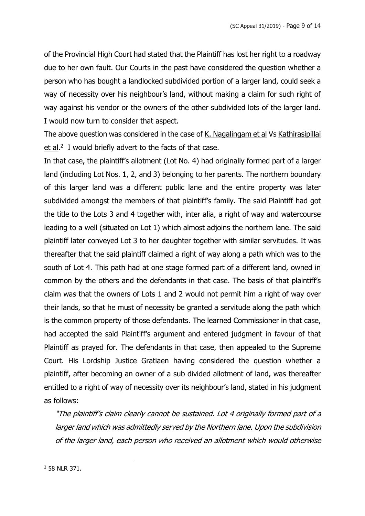of the Provincial High Court had stated that the Plaintiff has lost her right to a roadway due to her own fault. Our Courts in the past have considered the question whether a person who has bought a landlocked subdivided portion of a larger land, could seek a way of necessity over his neighbour's land, without making a claim for such right of way against his vendor or the owners of the other subdivided lots of the larger land. I would now turn to consider that aspect.

The above question was considered in the case of K. Nagalingam et al Vs Kathirasipillai et al.<sup>2</sup> I would briefly advert to the facts of that case.

In that case, the plaintiff's allotment (Lot No. 4) had originally formed part of a larger land (including Lot Nos. 1, 2, and 3) belonging to her parents. The northern boundary of this larger land was a different public lane and the entire property was later subdivided amongst the members of that plaintiff's family. The said Plaintiff had got the title to the Lots 3 and 4 together with, inter alia, a right of way and watercourse leading to a well (situated on Lot 1) which almost adjoins the northern lane. The said plaintiff later conveyed Lot 3 to her daughter together with similar servitudes. It was thereafter that the said plaintiff claimed a right of way along a path which was to the south of Lot 4. This path had at one stage formed part of a different land, owned in common by the others and the defendants in that case. The basis of that plaintiff's claim was that the owners of Lots 1 and 2 would not permit him a right of way over their lands, so that he must of necessity be granted a servitude along the path which is the common property of those defendants. The learned Commissioner in that case, had accepted the said Plaintiff's argument and entered judgment in favour of that Plaintiff as prayed for. The defendants in that case, then appealed to the Supreme Court. His Lordship Justice Gratiaen having considered the question whether a plaintiff, after becoming an owner of a sub divided allotment of land, was thereafter entitled to a right of way of necessity over its neighbour's land, stated in his judgment as follows:

"The plaintiff's claim clearly cannot be sustained. Lot 4 originally formed part of <sup>a</sup> larger land which was admittedly served by the Northern lane. Upon the subdivision of the larger land, each person who received an allotment which would otherwise

<sup>2</sup> 58 NLR 371.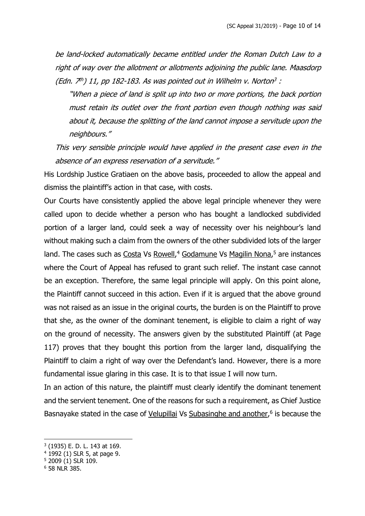be land-locked automatically became entitled under the Roman Dutch Law to <sup>a</sup> right of way over the allotment or allotments adjoining the public lane. Maasdorp (Edn. 7<sup>th</sup>) 11, pp 182-183. As was pointed out in Wilhelm v. Norton<sup>3</sup> :

"When <sup>a</sup> piece of land is split up into two or more portions, the back portion must retain its outlet over the front portion even though nothing was said about it, because the splitting of the land cannot impose <sup>a</sup> servitude upon the neighbours."

This very sensible principle would have applied in the present case even in the absence of an express reservation of <sup>a</sup> servitude."

His Lordship Justice Gratiaen on the above basis, proceeded to allow the appeal and dismiss the plaintiff's action in that case, with costs.

Our Courts have consistently applied the above legal principle whenever they were called upon to decide whether a person who has bought a landlocked subdivided portion of a larger land, could seek a way of necessity over his neighbour's land without making such a claim from the owners of the other subdivided lots of the larger land. The cases such as Costa Vs Rowell,<sup>4</sup> Godamune Vs Magilin Nona,<sup>5</sup> are instances where the Court of Appeal has refused to grant such relief. The instant case cannot be an exception. Therefore, the same legal principle will apply. On this point alone, the Plaintiff cannot succeed in this action. Even if it is argued that the above ground was not raised as an issue in the original courts, the burden is on the Plaintiff to prove that she, as the owner of the dominant tenement, is eligible to claim a right of way on the ground of necessity. The answers given by the substituted Plaintiff (at Page 117) proves that they bought this portion from the larger land, disqualifying the Plaintiff to claim a right of way over the Defendant's land. However, there is a more fundamental issue glaring in this case. It is to that issue I will now turn.

In an action of this nature, the plaintiff must clearly identify the dominant tenement and the servient tenement. One of the reasons for such a requirement, as Chief Justice Basnayake stated in the case of Velupillai Vs Subasinghe and another,<sup>6</sup> is because the

<sup>3</sup> (1935) E. D. L. 143 at 169.

<sup>4</sup> 1992 (1) SLR 5, at page 9.

<sup>5</sup> 2009 (1) SLR 109.

<sup>6</sup> 58 NLR 385.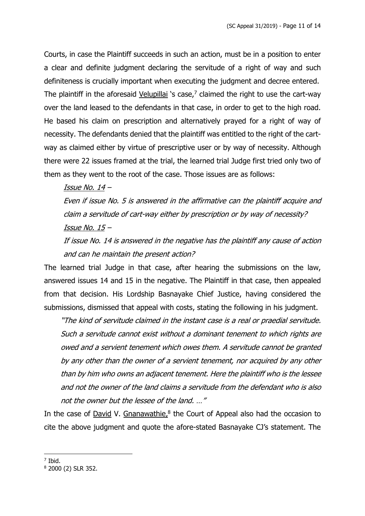Courts, in case the Plaintiff succeeds in such an action, must be in a position to enter a clear and definite judgment declaring the servitude of a right of way and such definiteness is crucially important when executing the judgment and decree entered. The plaintiff in the aforesaid Velupillai 's case,<sup>7</sup> claimed the right to use the cart-way over the land leased to the defendants in that case, in order to get to the high road. He based his claim on prescription and alternatively prayed for a right of way of necessity. The defendants denied that the plaintiff was entitled to the right of the cartway as claimed either by virtue of prescriptive user or by way of necessity. Although there were 22 issues framed at the trial, the learned trial Judge first tried only two of them as they went to the root of the case. Those issues are as follows:

#### Issue No. 14 –

Even if issue No. 5 is answered in the affirmative can the plaintiff acquire and claim <sup>a</sup> servitude of cart-way either by prescription or by way of necessity? Issue No. 15 –

If issue No. 14 is answered in the negative has the plaintiff any cause of action and can he maintain the present action?

The learned trial Judge in that case, after hearing the submissions on the law, answered issues 14 and 15 in the negative. The Plaintiff in that case, then appealed from that decision. His Lordship Basnayake Chief Justice, having considered the submissions, dismissed that appeal with costs, stating the following in his judgment.

"The kind of servitude claimed in the instant case is <sup>a</sup> real or praedial servitude. Such <sup>a</sup> servitude cannot exist without <sup>a</sup> dominant tenement to which rights are owed and <sup>a</sup> servient tenement which owes them. A servitude cannot be granted by any other than the owner of <sup>a</sup> servient tenement, nor acquired by any other than by him who owns an adjacent tenement. Here the plaintiff who is the lessee and not the owner of the land claims a servitude from the defendant who is also not the owner but the lessee of the land. …"

In the case of David V. Gnanawathie,<sup>8</sup> the Court of Appeal also had the occasion to cite the above judgment and quote the afore-stated Basnayake CJ's statement. The

<sup>7</sup> Ibid.

<sup>8</sup> 2000 (2) SLR 352.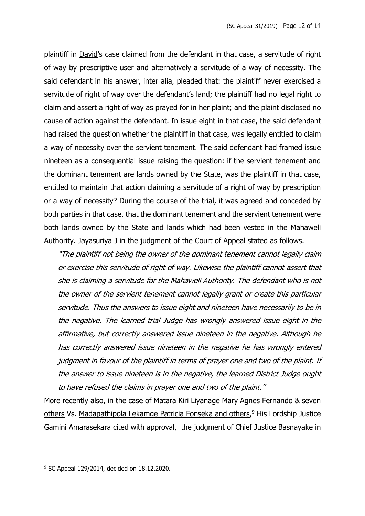plaintiff in David's case claimed from the defendant in that case, a servitude of right of way by prescriptive user and alternatively a servitude of a way of necessity. The said defendant in his answer, inter alia, pleaded that: the plaintiff never exercised a servitude of right of way over the defendant's land; the plaintiff had no legal right to claim and assert a right of way as prayed for in her plaint; and the plaint disclosed no cause of action against the defendant. In issue eight in that case, the said defendant had raised the question whether the plaintiff in that case, was legally entitled to claim a way of necessity over the servient tenement. The said defendant had framed issue nineteen as a consequential issue raising the question: if the servient tenement and the dominant tenement are lands owned by the State, was the plaintiff in that case, entitled to maintain that action claiming a servitude of a right of way by prescription or a way of necessity? During the course of the trial, it was agreed and conceded by both parties in that case, that the dominant tenement and the servient tenement were both lands owned by the State and lands which had been vested in the Mahaweli Authority. Jayasuriya J in the judgment of the Court of Appeal stated as follows.

"The plaintiff not being the owner of the dominant tenement cannot legally claim or exercise this servitude of right of way. Likewise the plaintiff cannot assert that she is claiming <sup>a</sup> servitude for the Mahaweli Authority. The defendant who is not the owner of the servient tenement cannot legally grant or create this particular servitude. Thus the answers to issue eight and nineteen have necessarily to be in the negative. The learned trial Judge has wrongly answered issue eight in the affirmative, but correctly answered issue nineteen in the negative. Although he has correctly answered issue nineteen in the negative he has wrongly entered judgment in favour of the plaintiff in terms of prayer one and two of the plaint. If the answer to issue nineteen is in the negative, the learned District Judge ought to have refused the claims in prayer one and two of the plaint."

More recently also, in the case of Matara Kiri Liyanage Mary Agnes Fernando & seven others Vs. Madapathipola Lekamge Patricia Fonseka and others,<sup>9</sup> His Lordship Justice Gamini Amarasekara cited with approval, the judgment of Chief Justice Basnayake in

<sup>9</sup> SC Appeal 129/2014, decided on 18.12.2020.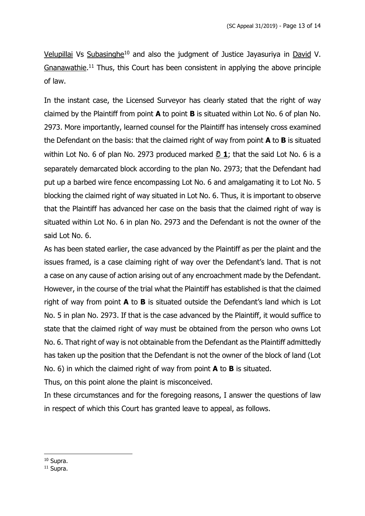Velupillai Vs Subasinghe<sup>10</sup> and also the judgment of Justice Jayasuriya in David V. Gnanawathie.<sup>11</sup> Thus, this Court has been consistent in applying the above principle of law.

In the instant case, the Licensed Surveyor has clearly stated that the right of way claimed by the Plaintiff from point **A** to point **B** is situated within Lot No. 6 of plan No. 2973. More importantly, learned counsel for the Plaintiff has intensely cross examined the Defendant on the basis: that the claimed right of way from point **A** to **B** is situated within Lot No. 6 of plan No. 2973 produced marked **වි 1**; that the said Lot No. 6 is a separately demarcated block according to the plan No. 2973; that the Defendant had put up a barbed wire fence encompassing Lot No. 6 and amalgamating it to Lot No. 5 blocking the claimed right of way situated in Lot No. 6. Thus, it is important to observe that the Plaintiff has advanced her case on the basis that the claimed right of way is situated within Lot No. 6 in plan No. 2973 and the Defendant is not the owner of the said Lot No. 6.

As has been stated earlier, the case advanced by the Plaintiff as per the plaint and the issues framed, is a case claiming right of way over the Defendant's land. That is not a case on any cause of action arising out of any encroachment made by the Defendant. However, in the course of the trial what the Plaintiff has established is that the claimed right of way from point **A** to **B** is situated outside the Defendant's land which is Lot No. 5 in plan No. 2973. If that is the case advanced by the Plaintiff, it would suffice to state that the claimed right of way must be obtained from the person who owns Lot No. 6. That right of way is not obtainable from the Defendant as the Plaintiff admittedly has taken up the position that the Defendant is not the owner of the block of land (Lot No. 6) in which the claimed right of way from point **A** to **B** is situated.

Thus, on this point alone the plaint is misconceived.

In these circumstances and for the foregoing reasons, I answer the questions of law in respect of which this Court has granted leave to appeal, as follows.

<sup>10</sup> Supra.

<sup>11</sup> Supra.